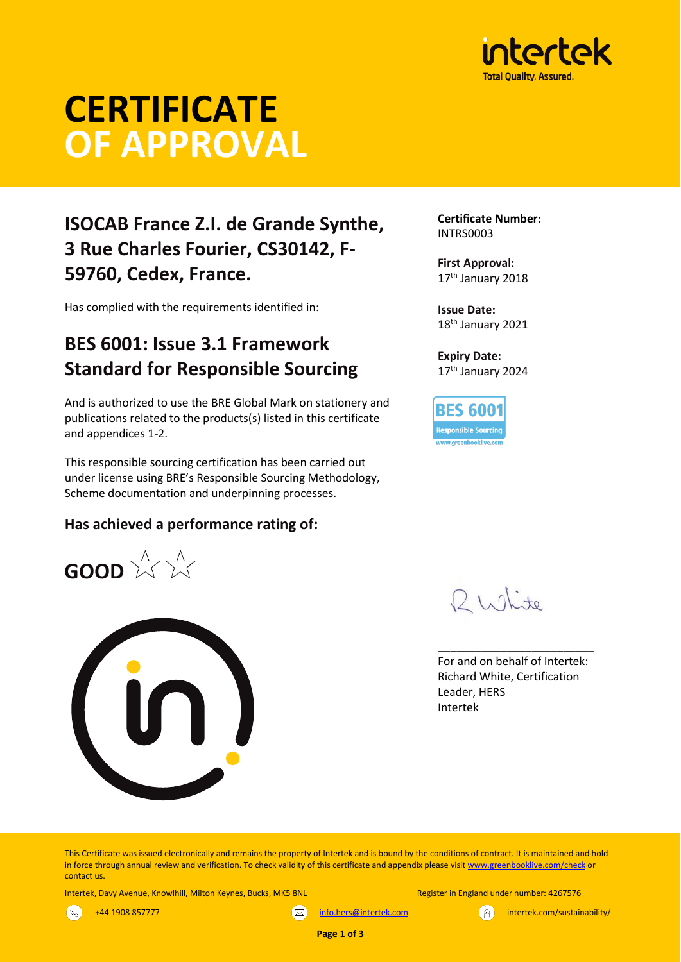

# **CERTIFICATE OF APPROVAL**

# **ISOCAB France Z.I. de Grande Synthe, 3 Rue Charles Fourier, CS30142, F-59760, Cedex, France.**

Has complied with the requirements identified in:

# **BES 6001: Issue 3.1 Framework Standard for Responsible Sourcing**

And is authorized to use the BRE Global Mark on stationery and publications related to the products(s) listed in this certificate and appendices 1-2.

This responsible sourcing certification has been carried out under license using BRE's Responsible Sourcing Methodology, Scheme documentation and underpinning processes.

## **Has achieved a performance rating of:**

**GOOD**  $\overleftrightarrow{\mathcal{W}}$   $\overleftrightarrow{\mathcal{W}}$ 



**Certificate Number:** INTRS0003

**First Approval:** 17<sup>th</sup> January 2018

**Issue Date:** 18<sup>th</sup> January 2021

**Expiry Date:** 17<sup>th</sup> January 2024

**BES 6001 Responsible Sourcing** 

Philite

For and on behalf of Intertek: Richard White, Certification Leader, HERS Intertek

\_\_\_\_\_\_\_\_\_\_\_\_\_\_\_\_\_\_\_\_\_\_\_\_\_

This Certificate was issued electronically and remains the property of Intertek and is bound by the conditions of contract. It is maintained and hold in force through annual review and verification. To check validity of this certificate and appendix please visi[t www.greenbooklive.com/check](http://www.greenbooklive.com/check) or contact us.

Intertek, Davy Avenue, Knowlhill, Milton Keynes, Bucks, MK5 8NL Register in England under number: 4267576

 $\mathbb{R}^2$ 

+44 1908 857777

[info.hers@intertek.com](mailto:info.hers@intertek.com)

intertek.com/sustainability/

**Page 1 of 3**

 $\infty$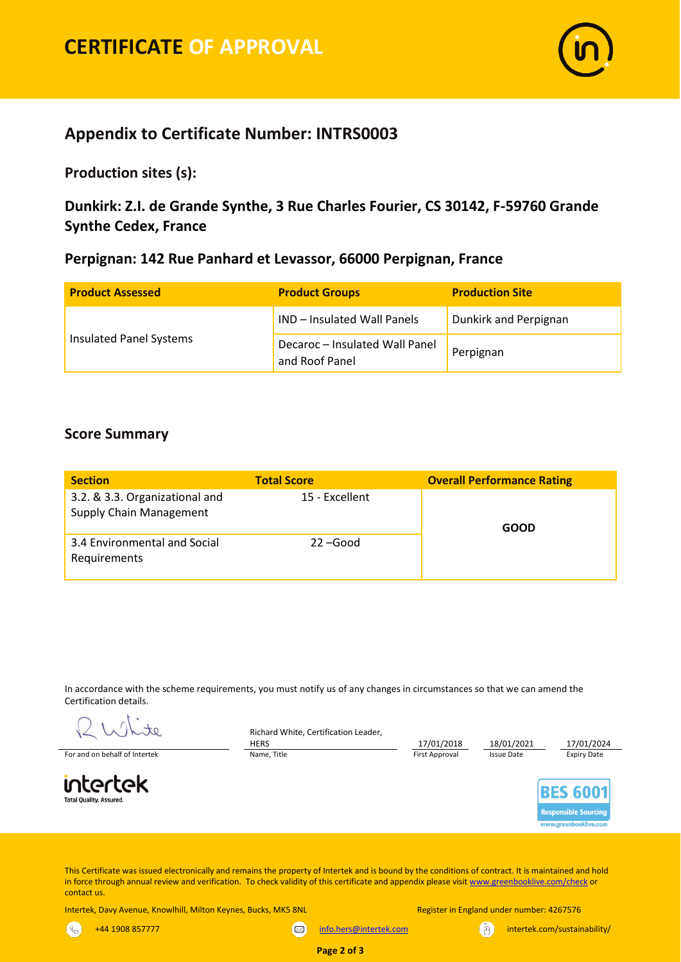

# **Appendix to Certificate Number: INTRS0003**

**Production sites (s):** 

**Dunkirk: Z.I. de Grande Synthe, 3 Rue Charles Fourier, CS 30142, F-59760 Grande Synthe Cedex, France** 

## **Perpignan: 142 Rue Panhard et Levassor, 66000 Perpignan, France**

| <b>Product Assessed</b> | <b>Product Groups</b>                            | <b>Production Site</b> |  |  |
|-------------------------|--------------------------------------------------|------------------------|--|--|
| Insulated Panel Systems | IND - Insulated Wall Panels                      | Dunkirk and Perpignan  |  |  |
|                         | Decaroc - Insulated Wall Panel<br>and Roof Panel | Perpignan              |  |  |

## **Score Summary**

| <b>Section</b>                                                   | <b>Total Score</b> | <b>Overall Performance Rating</b> |  |  |  |
|------------------------------------------------------------------|--------------------|-----------------------------------|--|--|--|
| 3.2. & 3.3. Organizational and<br><b>Supply Chain Management</b> | 15 - Excellent     | GOOD                              |  |  |  |
| 3.4 Environmental and Social<br>Requirements                     | $22 - Good$        |                                   |  |  |  |

In accordance with the scheme requirements, you must notify us of any changes in circumstances so that we can amend the Certification details.

Richard White, Certification Leader,

to

intertek **Total Quality, Assured** 

 $\mathbb{R}$ 



This Certificate was issued electronically and remains the property of Intertek and is bound by the conditions of contract. It is maintained and hold in force through annual review and verification. To check validity of this certificate and appendix please visit [www.greenbooklive.com/check](http://www.greenbooklive.com/check) or contact us.

Intertek, Davy Avenue, Knowlhill, Milton Keynes, Bucks, MK5 8NL Register in England under number: 4267576

+44 1908 857777

[info.hers@intertek.com](mailto:info.hers@intertek.com) intertek.com/sustainability/

**Page 2 of 3**

 $\infty$